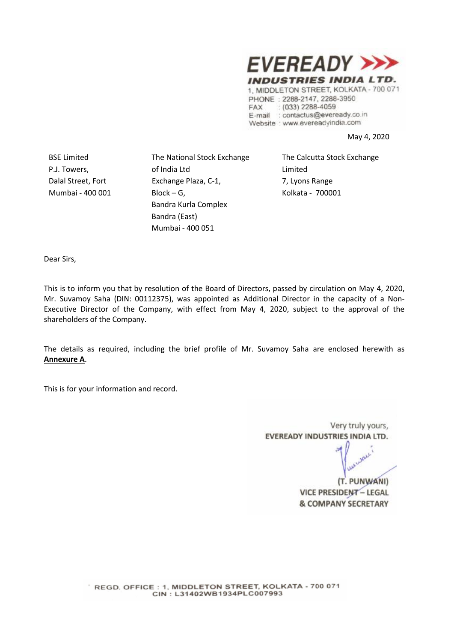

1, MIDDLETON STREET, KOLKATA - 700 071 PHONE: 2288-2147, 2288-3950 FAX  $(033)$  2288-4059 E-mail : contactus@eveready.co.in Website : www.evereadyindia.com

May 4, 2020

BSE Limited P.J. Towers, Dalal Street, Fort Mumbai - 400 001 The National Stock Exchange of India Ltd Exchange Plaza, C-1, Block – G, Bandra Kurla Complex Bandra (East) Mumbai - 400 051

The Calcutta Stock Exchange Limited 7, Lyons Range Kolkata - 700001

Dear Sirs,

This is to inform you that by resolution of the Board of Directors, passed by circulation on May 4, 2020, Mr. Suvamoy Saha (DIN: 00112375), was appointed as Additional Director in the capacity of a Non-Executive Director of the Company, with effect from May 4, 2020, subject to the approval of the shareholders of the Company.

The details as required, including the brief profile of Mr. Suvamoy Saha are enclosed herewith as **Annexure A**.

This is for your information and record.

Very truly yours, EVEREADY INDUSTRIES INDIA LTD.

(T. PUNWANI) **VICE PRESIDENT - LEGAL & COMPANY SECRETARY**